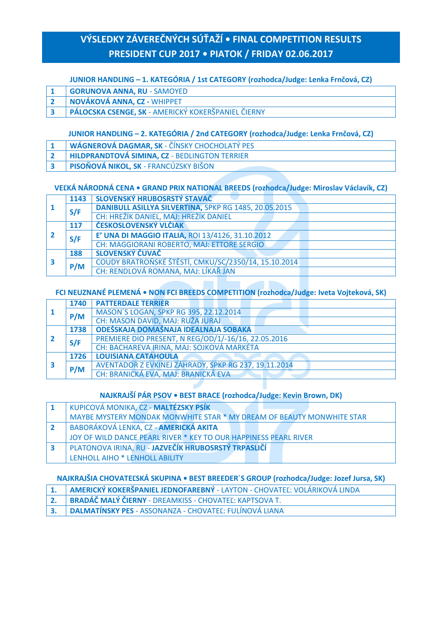# **VÝSLEDKY ZÁVEREČNÝCH SÚŤAŽÍ • FINAL COMPETITION RESULTS PRESIDENT CUP 2017 • PIATOK / FRIDAY 02.06.2017**

#### **JUNIOR HANDLING – 1. KATEGÓRIA / 1st CATEGORY (rozhodca/Judge: Lenka Frnčová, CZ)**

- **1 GORUNOVA ANNA, RU** SAMOYED
- **2 NOVÁKOVÁ ANNA, CZ -** WHIPPET
- **3 PÁLOCSKA CSENGE, SK** AMERICKÝ KOKERŠPANIEL ČIERNY

#### **JUNIOR HANDLING – 2. KATEGÓRIA / 2nd CATEGORY (rozhodca/Judge: Lenka Frnčová, CZ)**

- **1 WÁGNEROVÁ DAGMAR, SK** ČÍNSKY CHOCHOLATÝ PES
- **2 HILDPRANDTOVÁ SIMINA, CZ** BEDLINGTON TERRIER
- **3 PISOŇOVÁ NIKOL, SK** FRANCÚZSKY BIŠON

#### **VEĽKÁ NÁRODNÁ CENA • GRAND PRIX NATIONAL BREEDS (rozhodca/Judge: Miroslav Václavík, CZ)**

|  | 1143 | SLOVENSKÝ HRUBOSRSTÝ STAVAČ                           |
|--|------|-------------------------------------------------------|
|  | S/F  | DANIBULL ASILLYA SILVERTINA, SPKP RG 1485, 20.05.2015 |
|  |      | CH: HREŽÍK DANIEL, MAJ: HREŽÍK DANIEL                 |
|  | 117  | ČESKOSLOVENSKÝ VLČIAK                                 |
|  | S/F  | E' UNA DI MAGGIO ITALIA, ROI 13/4126, 31.10.2012      |
|  |      | <b>CH: MAGGIORANI ROBERTO, MAJ: ETTORE SERGIO</b>     |
|  | 188  | SLOVENSKÝ ČUVAČ                                       |
|  | P/M  | COUDY BRATROŇSKÉ ŠTĚSTÍ, CMKU/SC/2350/14, 15.10.2014  |
|  |      | CH: RENDLOVÁ ROMANA, MAJ: LÍKAŘ JAN                   |

#### **FCI NEUZNANÉ PLEMENÁ • NON FCI BREEDS COMPETITION (rozhodca/Judge: Iveta Vojteková, SK)**

|  | 1740 | <b>PATTERDALE TERRIER</b>                            |
|--|------|------------------------------------------------------|
|  | P/M  | MASON'S LOGAN, SPKP RG 395, 22.12.2014               |
|  |      | CH: MASON DAVID, MAJ: RUŽA JURAJ                     |
|  | 1738 | ODEŠSKAJA DOMAŠNAJA IDEALNAJA SOBAKA                 |
|  | S/F  | PREMIERE DIO PRESENT, N REG/OD/1/-16/16, 22.05.2016  |
|  |      | CH: BACHAREVA IRINA, MAJ: SOJKOVÁ MARKÉTA            |
|  | 1726 | <b>LOUISIANA CATAHOULA</b>                           |
|  | P/M  | AVENTADOR Z EVKINEJ ZÁHRADY, SPKP RG 237, 19.11.2014 |
|  |      | CH: BRANICKÁ EVA, MAJ: BRANICKÁ EVA                  |

#### **NAJKRAJŠÍ PÁR PSOV • BEST BRACE (rozhodca/Judge: Kevin Brown, DK)**

| KUPICOVÁ MONIKA, CZ - MALTÉZSKY PSÍK                                  |
|-----------------------------------------------------------------------|
| MAYBE MYSTERY MONDAK MONWHITE STAR * MY DREAM OF BEAUTY MONWHITE STAR |
| BABORÁKOVÁ LENKA, CZ - AMERICKÁ AKITA                                 |
| JOY OF WILD DANCE PEARL RIVER * KEY TO OUR HAPPINESS PEARL RIVER      |
| PLATONOVA IRINA, RU - JAZVEČÍK HRUBOSRSTÝ TRPASLIČÍ                   |
| LENHOLL AIHO * LENHOLL ABILITY                                        |

#### **NAJKRAJŠIA CHOVATEĽSKÁ SKUPINA • BEST BREEDER´S GROUP (rozhodca/Judge: Jozef Jursa, SK)**

| 1. AMERICKÝ KOKERŠPANIEL JEDNOFAREBNÝ - LAYTON - CHOVATEĽ: VOLÁRIKOVÁ LINDA |
|-----------------------------------------------------------------------------|
| 2. BRADÁČ MALÝ ČIERNY - DREAMKISS - CHOVATEĽ: KAPTSOVA T.                   |
| 3. DALMATÍNSKY PES - ASSONANZA - CHOVATEĽ: FULÍNOVÁ LIANA                   |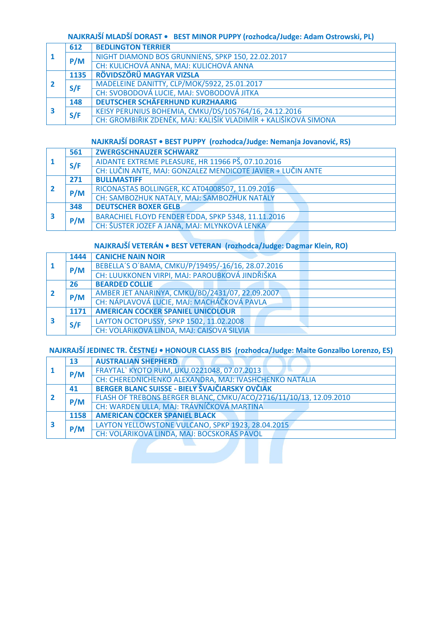### **NAJKRAJŠÍ MLADŠÍ DORAST • BEST MINOR PUPPY (rozhodca/Judge: Adam Ostrowski, PL)**

|  | 612  | <b>BEDLINGTON TERRIER</b>                                       |
|--|------|-----------------------------------------------------------------|
|  | P/M  | NIGHT DIAMOND BOS GRUNNIENS, SPKP 150, 22.02.2017               |
|  |      | CH: KULICHOVÁ ANNA, MAJ: KULICHOVÁ ANNA                         |
|  | 1135 | RÖVIDSZÖRÜ MAGYAR VIZSLA                                        |
|  | S/F  | MADELEINE DANITTY, CLP/MOK/5922, 25.01.2017                     |
|  |      | CH: SVOBODOVÁ LUCIE, MAJ: SVOBODOVÁ JITKA                       |
|  | 148  | <b>DEUTSCHER SCHÄFERHUND KURZHAARIG</b>                         |
|  | S/F  | KEISY PERUNIUS BOHEMIA, CMKU/DS/105764/16, 24.12.2016           |
|  |      | CH: GROMBIŘIK ZDENĚK, MAJ: KALIŠÍK VLADIMÍR + KALIŠÍKOVÁ SIMONA |

#### **NAJKRAJŠÍ DORAST • BEST PUPPY (rozhodca/Judge: Nemanja Jovanović, RS)**

|  | 561 | <b>ZWERGSCHNAUZER SCHWARZ</b>                               |
|--|-----|-------------------------------------------------------------|
|  | S/F | AIDANTE EXTREME PLEASURE, HR 11966 PŠ, 07.10.2016           |
|  |     | CH: LUČIN ANTE, MAJ: GONZALEZ MENDICOTE JAVIER + LUČIN ANTE |
|  | 271 | <b>BULLMASTIFF</b>                                          |
|  | P/M | RICONASTAS BOLLINGER, KC AT04008507, 11.09.2016             |
|  |     | CH: SAMBOZHUK NATALY, MAJ: SAMBOZHUK NATALY                 |
|  | 348 | <b>DEUTSCHER BOXER GELB</b>                                 |
|  | P/M | BARACHIEL FLOYD FENDER EDDA, SPKP 5348, 11.11.2016          |
|  |     | CH: ŠUSTER JOZEF A JANA, MAJ: MLYNKOVÁ LENKA                |

# **NAJKRAJŠÍ VETERÁN • BEST VETERAN (rozhodca/Judge: Dagmar Klein, RO)**

|  | 1444 | <b>CANICHE NAIN NOIR</b>                          |
|--|------|---------------------------------------------------|
|  | P/M  | BEBELLA'S O'BAMA, CMKU/P/19495/-16/16, 28.07.2016 |
|  |      | CH: LUUKKONEN VIRPI, MAJ: PAROUBKOVÁ JINDŘIŠKA    |
|  | 26   | <b>BEARDED COLLIE</b>                             |
|  | P/M  | AMBER JET ANARINYA, CMKU/BD/2431/07, 22.09.2007   |
|  |      | CH: NÁPLAVOVÁ LUCIE, MAJ: MACHÁČKOVÁ PAVLA        |
|  | 1171 | <b>AMERICAN COCKER SPANIEL UNICOLOUR</b>          |
|  | S/F  | LAYTON OCTOPUSSY, SPKP 1502, 11.02.2008           |
|  |      | CH: VOLÁRIKOVÁ LINDA, MAJ: CAISOVA SILVIA         |

# **NAJKRAJŠÍ JEDINEC TR. ČESTNEJ • HONOUR CLASS BIS (rozhodca/Judge: Maite Gonzalbo Lorenzo, ES)**

|  | 13   | <b>AUSTRALIAN SHEPHERD</b>                                        |
|--|------|-------------------------------------------------------------------|
|  | P/M  | FRAYTAL` KYOTO RUM, UKU.0221048, 07.07.2013                       |
|  |      | CH: CHEREDNICHENKO ALEXANDRA, MAJ: IVASHCHENKO NATALIA            |
|  | 41   | <b>BERGER BLANC SUISSE - BIELY ŠVAJČIARSKY OVČIAK</b>             |
|  |      | FLASH OF TREBONS BERGER BLANC, CMKU/ACO/2716/11/10/13, 12.09.2010 |
|  | P/M  | CH: WARDEN ULLA, MAJ: TRÁVNÍČKOVÁ MARTINA                         |
|  | 1158 | <b>AMERICAN COCKER SPANIEL BLACK</b>                              |
|  | P/M  | LAYTON YELLOWSTONE VULCANO, SPKP 1923, 28.04.2015                 |
|  |      | CH: VOLÁRIKOVÁ LINDA, MAJ: BOCSKORÁS PAVOL                        |
|  |      |                                                                   |
|  |      |                                                                   |
|  |      |                                                                   |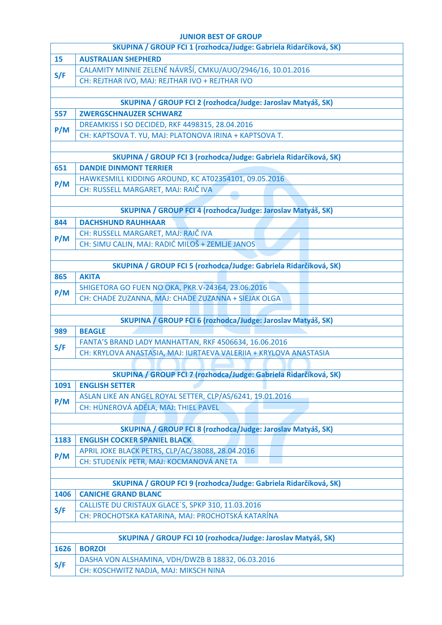#### **JUNIOR BEST OF GROUP**

|                                                              | SKUPINA / GROUP FCI 1 (rozhodca/Judge: Gabriela Ridarčíková, SK)                       |  |  |
|--------------------------------------------------------------|----------------------------------------------------------------------------------------|--|--|
| 15                                                           | <b>AUSTRALIAN SHEPHERD</b>                                                             |  |  |
| S/F                                                          | CALAMITY MINNIE ZELENÉ NÁVRŠÍ, CMKU/AUO/2946/16, 10.01.2016                            |  |  |
|                                                              | CH: REJTHAR IVO, MAJ: REJTHAR IVO + REJTHAR IVO                                        |  |  |
|                                                              |                                                                                        |  |  |
|                                                              | SKUPINA / GROUP FCI 2 (rozhodca/Judge: Jaroslav Matyáš, SK)                            |  |  |
| 557                                                          | <b>ZWERGSCHNAUZER SCHWARZ</b>                                                          |  |  |
| P/M                                                          | DREAMKISS I SO DECIDED, RKF 4498315, 28.04.2016                                        |  |  |
|                                                              | CH: KAPTSOVA T. YU, MAJ: PLATONOVA IRINA + KAPTSOVA T.                                 |  |  |
|                                                              |                                                                                        |  |  |
|                                                              | SKUPINA / GROUP FCI 3 (rozhodca/Judge: Gabriela Ridarčíková, SK)                       |  |  |
| 651                                                          | <b>DANDIE DINMONT TERRIER</b>                                                          |  |  |
| P/M                                                          | HAWKESMILL KIDDING AROUND, KC AT02354101, 09.05.2016                                   |  |  |
|                                                              | CH: RUSSELL MARGARET, MAJ: RAIČ IVA                                                    |  |  |
|                                                              |                                                                                        |  |  |
|                                                              | SKUPINA / GROUP FCI 4 (rozhodca/Judge: Jaroslav Matyáš, SK)                            |  |  |
| 844                                                          | <b>DACHSHUND RAUHHAAR</b>                                                              |  |  |
| P/M                                                          | CH: RUSSELL MARGARET, MAJ: RAIČ IVA<br>CH: SIMU CALIN, MAJ: RADIĆ MILOŠ + ZEMLJE JANOS |  |  |
|                                                              |                                                                                        |  |  |
|                                                              | SKUPINA / GROUP FCI 5 (rozhodca/Judge: Gabriela Ridarčíková, SK)                       |  |  |
| 865                                                          | <b>AKITA</b>                                                                           |  |  |
|                                                              | SHIGETORA GO FUEN NO OKA, PKR.V-24364, 23.06.2016                                      |  |  |
| P/M                                                          | CH: CHADE ZUZANNA, MAJ: CHADE ZUZANNA + SIEJAK OLGA                                    |  |  |
|                                                              |                                                                                        |  |  |
|                                                              | SKUPINA / GROUP FCI 6 (rozhodca/Judge: Jaroslav Matyáš, SK)                            |  |  |
| 989                                                          | <b>BEAGLE</b>                                                                          |  |  |
|                                                              | FANTA'S BRAND LADY MANHATTAN, RKF 4506634, 16.06.2016                                  |  |  |
| S/F                                                          | CH: KRYLOVA ANASTASIA, MAJ: IURTAEVA VALERIIA + KRYLOVA ANASTASIA                      |  |  |
|                                                              |                                                                                        |  |  |
|                                                              | SKUPINA / GROUP FCI 7 (rozhodca/Judge: Gabriela Ridarčíková, SK)                       |  |  |
| 1091                                                         | <b>ENGLISH SETTER</b>                                                                  |  |  |
| P/M                                                          | ASLAN LIKE AN ANGEL ROYAL SETTER, CLP/AS/6241, 19.01.2016                              |  |  |
|                                                              | CH: HÜNEROVÁ ADÉLA, MAJ: THIEL PAVEL                                                   |  |  |
|                                                              |                                                                                        |  |  |
|                                                              | SKUPINA / GROUP FCI 8 (rozhodca/Judge: Jaroslav Matyáš, SK)                            |  |  |
| 1183                                                         | <b>ENGLISH COCKER SPANIEL BLACK</b>                                                    |  |  |
| P/M                                                          | APRIL JOKE BLACK PETRS, CLP/AC/38088, 28.04.2016                                       |  |  |
|                                                              | CH: STUDENÍK PETR, MAJ: KOCMANOVÁ ANETA                                                |  |  |
|                                                              | SKUPINA / GROUP FCI 9 (rozhodca/Judge: Gabriela Ridarčíková, SK)                       |  |  |
| 1406                                                         | <b>CANICHE GRAND BLANC</b>                                                             |  |  |
|                                                              | CALLISTE DU CRISTAUX GLACE'S, SPKP 310, 11.03.2016                                     |  |  |
| S/F                                                          | CH: PROCHOTSKA KATARINA, MAJ: PROCHOTSKÁ KATARÍNA                                      |  |  |
|                                                              |                                                                                        |  |  |
| SKUPINA / GROUP FCI 10 (rozhodca/Judge: Jaroslav Matyáš, SK) |                                                                                        |  |  |
|                                                              |                                                                                        |  |  |
| 1626                                                         | <b>BORZOI</b>                                                                          |  |  |
| S/F                                                          | DASHA VON ALSHAMINA, VDH/DWZB B 18832, 06.03.2016                                      |  |  |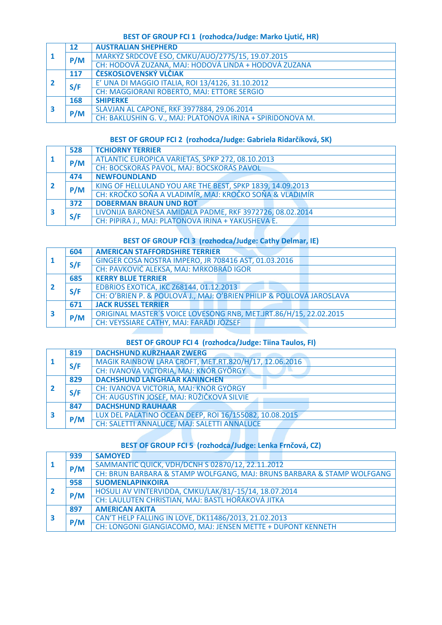### **BEST OF GROUP FCI 1 (rozhodca/Judge: Marko Ljutić, HR)**

|   | 12  | <b>AUSTRALIAN SHEPHERD</b>                                 |
|---|-----|------------------------------------------------------------|
|   | P/M | MARKÝZ SRDCOVÉ ESO, CMKU/AUO/2775/15, 19.07.2015           |
|   |     | CH: HODOVÁ ZUZANA, MAJ: HODOVÁ LINDA + HODOVÁ ZUZANA       |
|   | 117 | ČESKOSLOVENSKÝ VLČIAK                                      |
|   | S/F | E' UNA DI MAGGIO ITALIA, ROI 13/4126, 31.10.2012           |
|   |     | CH: MAGGIORANI ROBERTO, MAJ: ETTORE SERGIO                 |
| 3 | 168 | <b>SHIPERKE</b>                                            |
|   | P/M | SLAVJAN AL CAPONE, RKF 3977884, 29.06.2014                 |
|   |     | CH: BAKLUSHIN G. V., MAJ: PLATONOVA IRINA + SPIRIDONOVA M. |

### **BEST OF GROUP FCI 2 (rozhodca/Judge: Gabriela Ridarčíková, SK)**

| -1 | 528 | <b>TCHIORNY TERRIER</b>                                   |
|----|-----|-----------------------------------------------------------|
|    | P/M | ATLANTIC EUROPICA VARIETAS, SPKP 272, 08.10.2013          |
|    |     | CH: BOCSKORÁS PAVOL, MAJ: BOCSKORÁS PAVOL                 |
|    | 474 | <b>NEWFOUNDLAND</b>                                       |
|    | P/M | KING OF HELLULAND YOU ARE THE BEST, SPKP 1839, 14.09.2013 |
|    |     | CH: KROČKO SOŇA A VLADIMÍR, MAJ: KROČKO SOŇA & VLADIMÍR   |
| 3  | 372 | <b>DOBERMAN BRAUN UND ROT</b>                             |
|    | S/F | LIVONIJA BARONESA AMIDALA PADME, RKF 3972726, 08.02.2014  |
|    |     | CH: PIPIRA J., MAJ: PLATONOVA IRINA + YAKUSHEVA E.        |

# **BEST OF GROUP FCI 3 (rozhodca/Judge: Cathy Delmar, IE)**

|  | 604 | <b>AMERICAN STAFFORDSHIRE TERRIER</b>                                |
|--|-----|----------------------------------------------------------------------|
|  | S/F | GINGER COSA NOSTRA IMPERO, JR 708416 AST, 01.03.2016                 |
|  |     | CH: PAVKOVIĆ ALEKSA, MAJ: MRKOBRAD IGOR                              |
|  | 685 | <b>KERRY BLUE TERRIER</b>                                            |
|  | S/F | EDBRIOS EXOTICA, IKC Z68144, 01.12.2013                              |
|  |     | CH: O'BRIEN P. & POULOVÁ J., MAJ: O'BRIEN PHILIP & POULOVÁ JAROSLAVA |
|  | 671 | <b>JACK RUSSEL TERRIER</b>                                           |
|  | P/M | ORIGINAL MASTER'S VOICE LOVESONG RNB, MET.JRT.86/H/15, 22.02.2015    |
|  |     | CH: VEYSSIARE CATHY, MAJ: FARÁDI JÓZSEF                              |

### **BEST OF GROUP FCI 4 (rozhodca/Judge: Tiina Taulos, FI)**

|  | 819 | <b>DACHSHUND KURZHAAR ZWERG</b>                        |
|--|-----|--------------------------------------------------------|
|  | S/F | MAGIK RAINBOW LARA CROFT, MET.RT.820/H/17, 12.06.2016  |
|  |     | CH: IVANOVA VICTORIA, MAJ: KNÓR GYÖRGY                 |
|  | 829 | <b>DACHSHUND LANGHAAR KANINCHEN</b>                    |
|  | S/F | CH: IVANOVA VICTORIA, MAJ: KNÓR GYÖRGY                 |
|  |     | CH: AUGUSTIN JOSEF, MAJ: RŮŽIČKOVÁ SILVIE              |
|  | 847 | <b>DACHSHUND RAUHAAR</b>                               |
|  | P/M | LUX DEL PALATINO OCEAN DEEP, ROI 16/155082, 10.08.2015 |
|  |     | CH: SALETTI ANNALUCE, MAJ: SALETTI ANNALUCE            |

# **BEST OF GROUP FCI 5 (rozhodca/Judge: Lenka Frnčová, CZ)**

|  | 939 | <b>SAMOYED</b>                                                         |
|--|-----|------------------------------------------------------------------------|
|  | P/M | SAMMANTIC QUICK, VDH/DCNH S 02870/12, 22.11.2012                       |
|  |     | CH: BRUN BARBARA & STAMP WOLFGANG, MAJ: BRUNS BARBARA & STAMP WOLFGANG |
|  | 958 | <b>SUOMENLAPINKOIRA</b>                                                |
|  | P/M | HOSULI AV VINTERVIDDA, CMKU/LAK/81/-15/14, 18.07.2014                  |
|  |     | CH: LAULUTEN CHRISTIAN, MAJ: BASTL HOŘÁKOVÁ JITKA                      |
|  | 897 | <b>AMERICAN AKITA</b>                                                  |
|  | P/M | CAN'T HELP FALLING IN LOVE, DK11486/2013, 21.02.2013                   |
|  |     | CH: LONGONI GIANGIACOMO, MAJ: JENSEN METTE + DUPONT KENNETH            |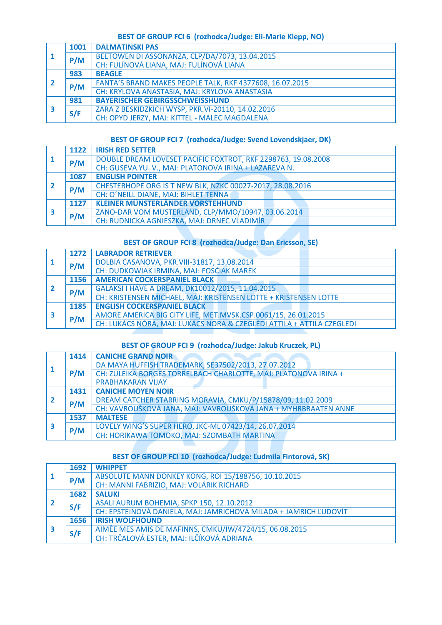### **BEST OF GROUP FCI 6 (rozhodca/Judge: Eli-Marie Klepp, NO)**

|  | 1001 | <b>DALMATINSKI PAS</b>                                   |
|--|------|----------------------------------------------------------|
|  | P/M  | BEETOWEN DI ASSONANZA, CLP/DA/7073, 13.04.2015           |
|  |      | CH: FULÍNOVÁ LIANA, MAJ: FULÍNOVÁ LIANA                  |
|  | 983  | <b>BEAGLE</b>                                            |
|  | P/M  | FANTA'S BRAND MAKES PEOPLE TALK, RKF 4377608, 16.07.2015 |
|  |      | CH: KRYLOVA ANASTASIA, MAJ: KRYLOVA ANASTASIA            |
|  | 981  | <b>BAYERISCHER GEBIRGSSCHWEISSHUND</b>                   |
|  | S/F  | ZARA Z BESKIDZKICH WYSP, PKR.VI-20110, 14.02.2016        |
|  |      | CH: OPYD JERZY, MAJ: KITTEL - MALEC MAGDALENA            |

### **BEST OF GROUP FCI 7 (rozhodca/Judge: Svend Lovendskjaer, DK)**

|   | 1122 | <b>IRISH RED SETTER</b>                                       |
|---|------|---------------------------------------------------------------|
|   | P/M  | DOUBLE DREAM LOVESET PACIFIC FOXTROT, RKF 2298763, 19.08.2008 |
|   |      | CH: GUSEVA YU. V., MAJ: PLATONOVA IRINA + LAZAREVA N.         |
|   | 1087 | <b>ENGLISH POINTER</b>                                        |
|   | P/M  | CHESTERHOPE ORG IS T NEW BLK, NZKC 00027-2017, 28.08.2016     |
|   |      | CH: O'NEILL DIANE, MAJ: BIHLET TENNA                          |
| 3 | 1127 | <b>KLEINER MÜNSTERLÄNDER VORSTEHHUND</b>                      |
|   | P/M  | ZANO-DAR VOM MUSTERLAND, CLP/MMO/10947, 03.06.2014            |
|   |      | CH: RUDNICKA AGNIESZKA, MAJ: DRNEC VLADIMÍR                   |

# **BEST OF GROUP FCI 8 (rozhodca/Judge: Dan Ericsson, SE)**

|  | 1272 | <b>LABRADOR RETRIEVER</b>                                             |
|--|------|-----------------------------------------------------------------------|
|  | P/M  | DOLBIA CASANOVA, PKR.VIII-31817, 13.08.2014                           |
|  |      | CH: DUDKOWIAK IRMINA, MAJ: FOSĆIAK MAREK                              |
|  | 1156 | <b>AMERICAN COCKERSPANIEL BLACK</b>                                   |
|  | P/M  | GALAKSI I HAVE A DREAM, DK10012/2015, 11.04.2015                      |
|  |      | CH: KRISTENSEN MICHAEL, MAJ: KRISTENSEN LOTTE + KRISTENSEN LOTTE      |
|  | 1185 | <b>ENGLISH COCKERSPANIEL BLACK</b>                                    |
|  | P/M  | AMORE AMERICA BIG CITY LIFE, MET.MVSK.CSP.0061/15, 26.01.2015         |
|  |      | CH: LUKÁCS NÓRA, MAJ: LUKÁCS NORA & CZEGLÉDI ATTILA + ATTILA CZEGLEDI |

### **BEST OF GROUP FCI 9 (rozhodca/Judge: Jakub Kruczek, PL)**

|   | 1414 | <b>CANICHE GRAND NOIR</b>                                       |
|---|------|-----------------------------------------------------------------|
|   | P/M  | DA MAYA HUFFISH TRADEMARK, SE37502/2013, 27.07.2012             |
|   |      | CH: ZULEIKA BORGES TORRELBACH CHARLOTTE, MAJ: PLATONOVA IRINA + |
|   |      | <b>PRABHAKARAN VIJAY</b>                                        |
|   | 1431 | <b>CANICHE MOYEN NOIR</b>                                       |
|   | P/M  | DREAM CATCHER STARRING MORAVIA, CMKU/P/15878/09, 11.02.2009     |
|   |      | CH: VAVROUŠKOVÁ JANA, MAJ: VAVROUŠKOVÁ JANA + MYHRBRAATEN ANNE  |
| 3 | 1537 | <b>MALTESE</b>                                                  |
|   | P/M  | LOVELY WING'S SUPER HERO, JKC-ML 07423/14, 26.07.2014           |
|   |      | CH: HORIKAWA TOMOKO, MAJ: SZOMBATH MARTINA                      |

## **BEST OF GROUP FCI 10 (rozhodca/Judge: Ľudmila Fintorová, SK)**

|   | 1692 | <b>WHIPPET</b>                                                   |
|---|------|------------------------------------------------------------------|
|   | P/M  | ABSOLUTE MANN DONKEY KONG, ROI 15/188756, 10.10.2015             |
|   |      | CH: MANNI FABRIZIO, MAJ: VOLÁRIK RICHARD                         |
|   | 1682 | <b>SALUKI</b>                                                    |
|   | S/F  | ASALI AURUM BOHEMIA, SPKP 150, 12.10.2012                        |
|   |      | CH: EPSTEINOVÁ DANIELA, MAJ: JAMRICHOVÁ MILADA + JAMRICH ĽUDOVÍT |
|   | 1656 | <b>IRISH WOLFHOUND</b>                                           |
| 3 | S/F  | AIMĚE MES AMIS DE MAFINNS, CMKU/IW/4724/15, 06.08.2015           |
|   |      | CH: TRČALOVÁ ESTER, MAJ: ILČÍKOVÁ ADRIANA                        |